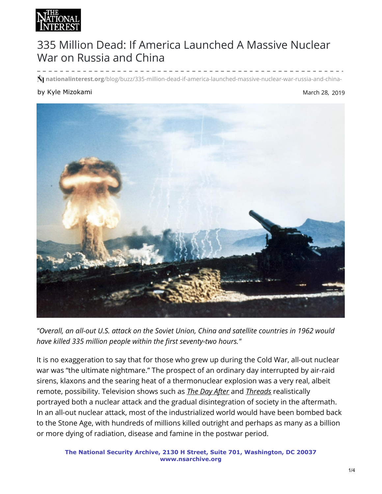

## 335 Million Dead: If America Launched A Massive Nuclear War on Russia and China

49507**nationalinterest.org**/blog/buzz/335-million-dead-if-america-launched-massive-nuclear-war-russia-and-china-

## by Kyle Mizokami

## March 28, 2019



*"Overall, an all-out U.S. attack on the Soviet Union, China and satellite countries in 1962 would have killed 335 million people within the first seventy-two hours."*

It is no exaggeration to say that for those who grew up during the Cold War, all-out nuclear war was "the ultimate nightmare." The prospect of an ordinary day interrupted by air-raid sirens, klaxons and the searing heat of a thermonuclear explosion was a very real, albeit remote, possibility. Television shows such as *[The Day After](https://www.youtube.com/watch?v=Iyy9n8r16hs)* and *[Threads](http://www.imdb.com/title/tt0090163/)* realistically portrayed both a nuclear attack and the gradual disintegration of society in the aftermath. In an all-out nuclear attack, most of the industrialized world would have been bombed back to the Stone Age, with hundreds of millions killed outright and perhaps as many as a billion or more dying of radiation, disease and famine in the postwar period.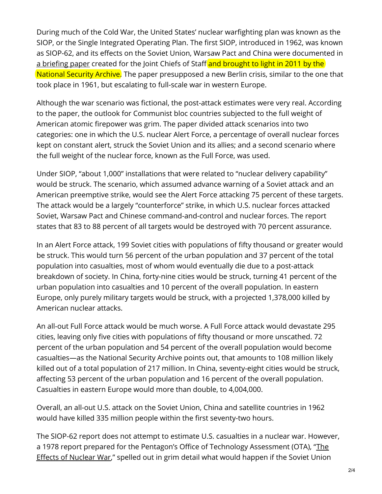During much of the Cold War, the United States' nuclear warfighting plan was known as the SIOP, or the Single Integrated Operating Plan. The first SIOP, introduced in 1962, was known as SIOP-62, and its effects on the Soviet Union, Warsaw Pact and China were documented in a [briefing](https://nsarchive.files.wordpress.com/2011/11/1961-06-26a.pdf) paper created for the Joint Chiefs of Staff and brought to light in 2011 by the National Security Archive. The paper presupposed a new Berlin crisis, similar to the one that took place in 1961, but escalating to full-scale war in western Europe.

Although the war scenario was fictional, the post-attack estimates were very real. According to the paper, the outlook for Communist bloc countries subjected to the full weight of American atomic firepower was grim. The paper divided attack scenarios into two categories: one in which the U.S. nuclear Alert Force, a percentage of overall nuclear forces kept on constant alert, struck the Soviet Union and its allies; and a second scenario where the full weight of the nuclear force, known as the Full Force, was used.

Under SIOP, "about 1,000" installations that were related to "nuclear delivery capability" would be struck. The scenario, which assumed advance warning of a Soviet attack and an American preemptive strike, would see the Alert Force attacking 75 percent of these targets. The attack would be a largely "counterforce" strike, in which U.S. nuclear forces attacked Soviet, Warsaw Pact and Chinese command-and-control and nuclear forces. The report states that 83 to 88 percent of all targets would be destroyed with 70 percent assurance.

In an Alert Force attack, 199 Soviet cities with populations of fifty thousand or greater would be struck. This would turn 56 percent of the urban population and 37 percent of the total population into casualties, most of whom would eventually die due to a post-attack breakdown of society. In China, forty-nine cities would be struck, turning 41 percent of the urban population into casualties and 10 percent of the overall population. In eastern Europe, only purely military targets would be struck, with a projected 1,378,000 killed by American nuclear attacks.

An all-out Full Force attack would be much worse. A Full Force attack would devastate 295 cities, leaving only five cities with populations of fifty thousand or more unscathed. 72 percent of the urban population and 54 percent of the overall population would become casualties—as the National Security Archive points out, that amounts to 108 million likely killed out of a total population of 217 million. In China, seventy-eight cities would be struck, affecting 53 percent of the urban population and 16 percent of the overall population. Casualties in eastern Europe would more than double, to 4,004,000.

Overall, an all-out U.S. attack on the Soviet Union, China and satellite countries in 1962 would have killed 335 million people within the first seventy-two hours.

The SIOP-62 report does not attempt to estimate U.S. casualties in a nuclear war. However, a 1978 report prepared for the Pentagon's Office of Technology [Assessment](http://atomicarchive.com/Docs/pdfs/7906.pdf) (OTA), "The Effects of Nuclear War," spelled out in grim detail what would happen if the Soviet Union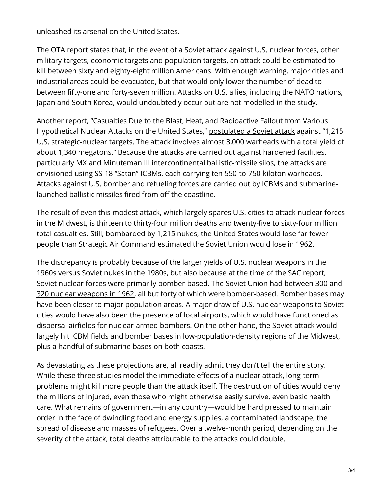unleashed its arsenal on the United States.

The OTA report states that, in the event of a Soviet attack against U.S. nuclear forces, other military targets, economic targets and population targets, an attack could be estimated to kill between sixty and eighty-eight million Americans. With enough warning, major cities and industrial areas could be evacuated, but that would only lower the number of dead to between fifty-one and forty-seven million. Attacks on U.S. allies, including the NATO nations, Japan and South Korea, would undoubtedly occur but are not modelled in the study.

Another report, "Casualties Due to the Blast, Heat, and Radioactive Fallout from Various Hypothetical Nuclear Attacks on the United States," [postulated](https://www.ncbi.nlm.nih.gov/books/NBK219165/) a Soviet attack against "1,215 U.S. strategic-nuclear targets. The attack involves almost 3,000 warheads with a total yield of about 1,340 megatons." Because the attacks are carried out against hardened facilities, particularly MX and Minuteman III intercontinental ballistic-missile silos, the attacks are envisioned using [SS-18](http://nationalinterest.org/blog/the-buzz/russia-building-the-largest-icbm-ever-america-should-be-16122) "Satan" ICBMs, each carrying ten 550-to-750-kiloton warheads. Attacks against U.S. bomber and refueling forces are carried out by ICBMs and submarinelaunched ballistic missiles fired from off the coastline.

The result of even this modest attack, which largely spares U.S. cities to attack nuclear forces in the Midwest, is thirteen to thirty-four million deaths and twenty-five to sixty-four million total casualties. Still, bombarded by 1,215 nukes, the United States would lose far fewer people than Strategic Air Command estimated the Soviet Union would lose in 1962.

The discrepancy is probably because of the larger yields of U.S. nuclear weapons in the 1960s versus Soviet nukes in the 1980s, but also because at the time of the SAC report, Soviet nuclear forces were primarily [bomber-based.](https://www.wilsoncenter.org/sites/default/files/2012_10_24_Norris_Cuban_Missile_Crisis_Nuclear_Order_of_Battle.pdf) The Soviet Union had between 300 and 320 nuclear weapons in 1962, all but forty of which were bomber-based. Bomber bases may have been closer to major population areas. A major draw of U.S. nuclear weapons to Soviet cities would have also been the presence of local airports, which would have functioned as dispersal airfields for nuclear-armed bombers. On the other hand, the Soviet attack would largely hit ICBM fields and bomber bases in low-population-density regions of the Midwest, plus a handful of submarine bases on both coasts.

As devastating as these projections are, all readily admit they don't tell the entire story. While these three studies model the immediate effects of a nuclear attack, long-term problems might kill more people than the attack itself. The destruction of cities would deny the millions of injured, even those who might otherwise easily survive, even basic health care. What remains of government—in any country—would be hard pressed to maintain order in the face of dwindling food and energy supplies, a contaminated landscape, the spread of disease and masses of refugees. Over a twelve-month period, depending on the severity of the attack, total deaths attributable to the attacks could double.